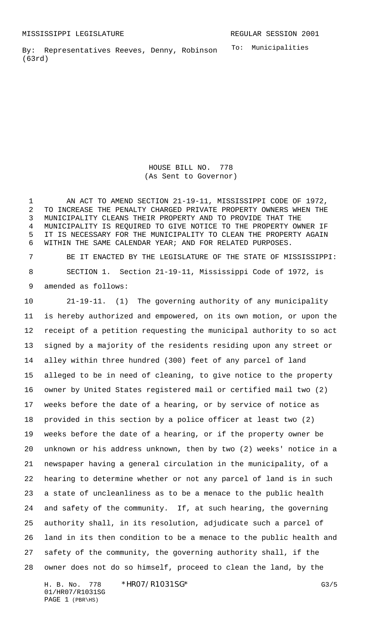To: Municipalities By: Representatives Reeves, Denny, Robinson (63rd)

> HOUSE BILL NO. 778 (As Sent to Governor)

1 AN ACT TO AMEND SECTION 21-19-11, MISSISSIPPI CODE OF 1972, TO INCREASE THE PENALTY CHARGED PRIVATE PROPERTY OWNERS WHEN THE MUNICIPALITY CLEANS THEIR PROPERTY AND TO PROVIDE THAT THE MUNICIPALITY IS REQUIRED TO GIVE NOTICE TO THE PROPERTY OWNER IF IT IS NECESSARY FOR THE MUNICIPALITY TO CLEAN THE PROPERTY AGAIN WITHIN THE SAME CALENDAR YEAR; AND FOR RELATED PURPOSES.

 BE IT ENACTED BY THE LEGISLATURE OF THE STATE OF MISSISSIPPI: SECTION 1. Section 21-19-11, Mississippi Code of 1972, is amended as follows:

 21-19-11. (1) The governing authority of any municipality is hereby authorized and empowered, on its own motion, or upon the receipt of a petition requesting the municipal authority to so act signed by a majority of the residents residing upon any street or alley within three hundred (300) feet of any parcel of land alleged to be in need of cleaning, to give notice to the property owner by United States registered mail or certified mail two (2) weeks before the date of a hearing, or by service of notice as provided in this section by a police officer at least two (2) weeks before the date of a hearing, or if the property owner be unknown or his address unknown, then by two (2) weeks' notice in a newspaper having a general circulation in the municipality, of a hearing to determine whether or not any parcel of land is in such a state of uncleanliness as to be a menace to the public health and safety of the community. If, at such hearing, the governing authority shall, in its resolution, adjudicate such a parcel of land in its then condition to be a menace to the public health and safety of the community, the governing authority shall, if the owner does not do so himself, proceed to clean the land, by the

H. B. No. 778 \* HRO7/R1031SG\* G3/5 01/HR07/R1031SG PAGE 1 (PBR\HS)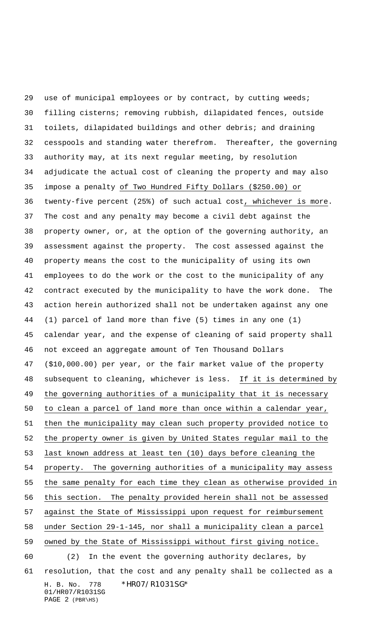H. B. No. 778 \*HR07/R1031SG\* 01/HR07/R1031SG PAGE 2 (PBR\HS) use of municipal employees or by contract, by cutting weeds; filling cisterns; removing rubbish, dilapidated fences, outside toilets, dilapidated buildings and other debris; and draining cesspools and standing water therefrom. Thereafter, the governing authority may, at its next regular meeting, by resolution adjudicate the actual cost of cleaning the property and may also impose a penalty of Two Hundred Fifty Dollars (\$250.00) or twenty-five percent (25%) of such actual cost, whichever is more. The cost and any penalty may become a civil debt against the property owner, or, at the option of the governing authority, an assessment against the property. The cost assessed against the property means the cost to the municipality of using its own employees to do the work or the cost to the municipality of any contract executed by the municipality to have the work done. The action herein authorized shall not be undertaken against any one (1) parcel of land more than five (5) times in any one (1) calendar year, and the expense of cleaning of said property shall not exceed an aggregate amount of Ten Thousand Dollars (\$10,000.00) per year, or the fair market value of the property subsequent to cleaning, whichever is less. If it is determined by the governing authorities of a municipality that it is necessary to clean a parcel of land more than once within a calendar year, then the municipality may clean such property provided notice to the property owner is given by United States regular mail to the last known address at least ten (10) days before cleaning the property. The governing authorities of a municipality may assess the same penalty for each time they clean as otherwise provided in this section. The penalty provided herein shall not be assessed against the State of Mississippi upon request for reimbursement under Section 29-1-145, nor shall a municipality clean a parcel owned by the State of Mississippi without first giving notice. (2) In the event the governing authority declares, by resolution, that the cost and any penalty shall be collected as a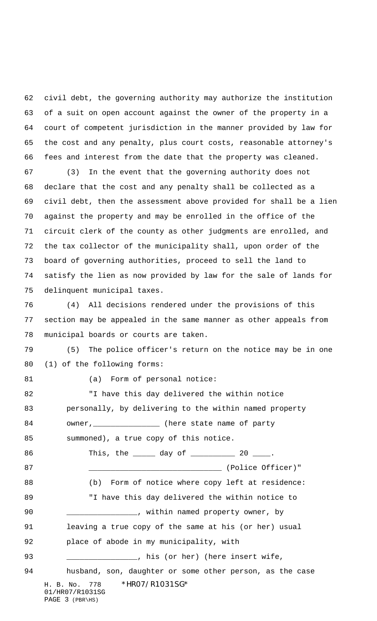civil debt, the governing authority may authorize the institution of a suit on open account against the owner of the property in a court of competent jurisdiction in the manner provided by law for the cost and any penalty, plus court costs, reasonable attorney's fees and interest from the date that the property was cleaned.

 (3) In the event that the governing authority does not declare that the cost and any penalty shall be collected as a civil debt, then the assessment above provided for shall be a lien against the property and may be enrolled in the office of the circuit clerk of the county as other judgments are enrolled, and the tax collector of the municipality shall, upon order of the board of governing authorities, proceed to sell the land to satisfy the lien as now provided by law for the sale of lands for delinquent municipal taxes.

 (4) All decisions rendered under the provisions of this section may be appealed in the same manner as other appeals from municipal boards or courts are taken.

 (5) The police officer's return on the notice may be in one (1) of the following forms:

81 (a) Form of personal notice:

H. B. No. 778 \*HR07/R1031SG\* 01/HR07/R1031SG PAGE 3 (PBR\HS) "I have this day delivered the within notice personally, by delivering to the within named property 84 owner, \_\_\_\_\_\_\_\_\_\_\_\_\_\_\_\_ (here state name of party summoned), a true copy of this notice. 86 This, the 100 day of 20 20 \_\_\_\_\_\_\_\_\_\_\_\_\_\_\_\_\_\_\_\_\_\_\_\_\_\_\_\_\_\_ (Police Officer)" 88 (b) Form of notice where copy left at residence: "I have this day delivered the within notice to 90 \_\_\_\_\_\_\_\_\_\_\_\_\_\_\_, within named property owner, by leaving a true copy of the same at his (or her) usual place of abode in my municipality, with 93 \_\_\_\_\_\_\_\_\_\_\_\_\_\_\_\_, his (or her) (here insert wife, husband, son, daughter or some other person, as the case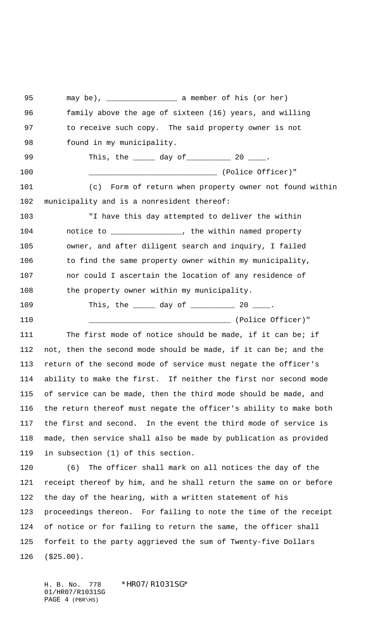may be), \_\_\_\_\_\_\_\_\_\_\_\_\_\_\_\_ a member of his (or her) family above the age of sixteen (16) years, and willing 97 to receive such copy. The said property owner is not 98 found in my municipality. 99 This, the 10 day of 20 20 \_\_\_\_\_\_\_\_\_\_\_\_\_\_\_\_\_\_\_\_\_\_\_\_\_\_\_\_\_ (Police Officer)" (c) Form of return when property owner not found within municipality and is a nonresident thereof: "I have this day attempted to deliver the within 104 motice to \_\_\_\_\_\_\_\_\_\_\_\_\_\_\_, the within named property owner, and after diligent search and inquiry, I failed 106 to find the same property owner within my municipality, nor could I ascertain the location of any residence of 108 the property owner within my municipality. 109 This, the 102 day of 20 20 20. \_\_\_\_\_\_\_\_\_\_\_\_\_\_\_\_\_\_\_\_\_\_\_\_\_\_\_\_\_\_\_\_ (Police Officer)" The first mode of notice should be made, if it can be; if not, then the second mode should be made, if it can be; and the return of the second mode of service must negate the officer's ability to make the first. If neither the first nor second mode of service can be made, then the third mode should be made, and the return thereof must negate the officer's ability to make both the first and second. In the event the third mode of service is made, then service shall also be made by publication as provided in subsection (1) of this section. (6) The officer shall mark on all notices the day of the receipt thereof by him, and he shall return the same on or before the day of the hearing, with a written statement of his proceedings thereon. For failing to note the time of the receipt of notice or for failing to return the same, the officer shall forfeit to the party aggrieved the sum of Twenty-five Dollars (\$25.00).

H. B. No. 778 \*HR07/R1031SG\* 01/HR07/R1031SG PAGE 4 (PBR\HS)